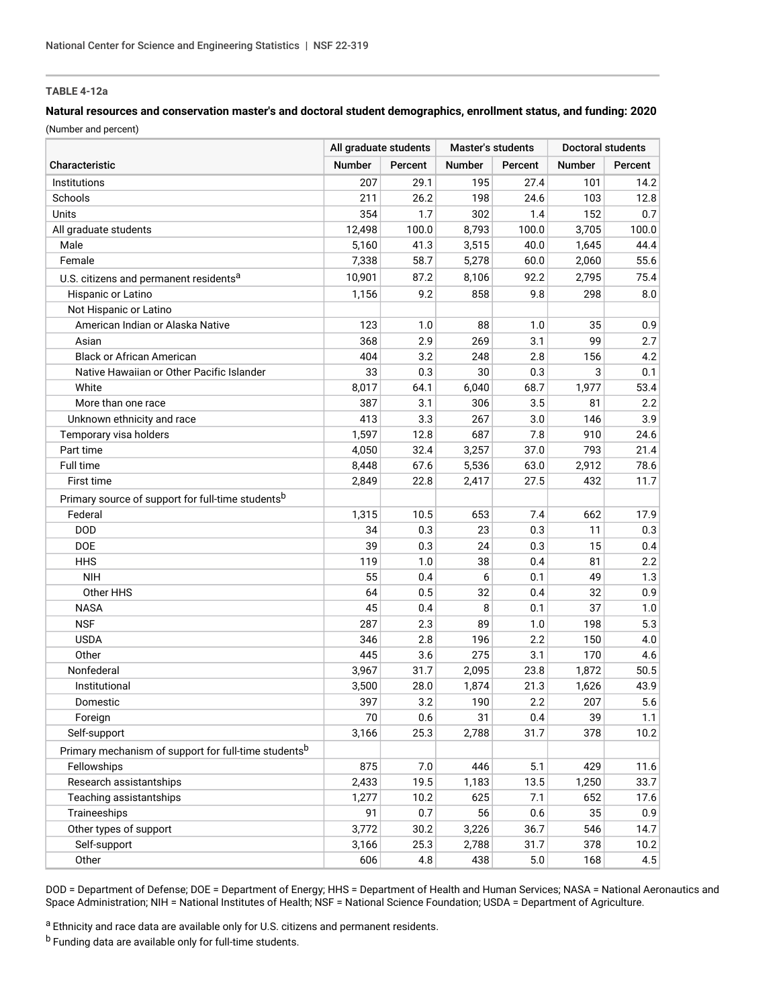## **TABLE 4-12a**

## **Natural resources and conservation master's and doctoral student demographics, enrollment status, and funding: 2020**

(Number and percent)

|                                                                  | All graduate students |         | Master's students |         | Doctoral students |         |
|------------------------------------------------------------------|-----------------------|---------|-------------------|---------|-------------------|---------|
| Characteristic                                                   | <b>Number</b>         | Percent | <b>Number</b>     | Percent | <b>Number</b>     | Percent |
| Institutions                                                     | 207                   | 29.1    | 195               | 27.4    | 101               | 14.2    |
| Schools                                                          | 211                   | 26.2    | 198               | 24.6    | 103               | 12.8    |
| Units                                                            | 354                   | 1.7     | 302               | 1.4     | 152               | 0.7     |
| All graduate students                                            | 12,498                | 100.0   | 8,793             | 100.0   | 3,705             | 100.0   |
| Male                                                             | 5,160                 | 41.3    | 3,515             | 40.0    | 1,645             | 44.4    |
| Female                                                           | 7,338                 | 58.7    | 5,278             | 60.0    | 2,060             | 55.6    |
| U.S. citizens and permanent residents <sup>a</sup>               | 10,901                | 87.2    | 8,106             | 92.2    | 2,795             | 75.4    |
| Hispanic or Latino                                               | 1,156                 | 9.2     | 858               | 9.8     | 298               | 8.0     |
| Not Hispanic or Latino                                           |                       |         |                   |         |                   |         |
| American Indian or Alaska Native                                 | 123                   | 1.0     | 88                | 1.0     | 35                | 0.9     |
| Asian                                                            | 368                   | 2.9     | 269               | 3.1     | 99                | 2.7     |
| <b>Black or African American</b>                                 | 404                   | 3.2     | 248               | 2.8     | 156               | 4.2     |
| Native Hawaiian or Other Pacific Islander                        | 33                    | 0.3     | 30                | 0.3     | 3                 | 0.1     |
| White                                                            | 8,017                 | 64.1    | 6,040             | 68.7    | 1,977             | 53.4    |
| More than one race                                               | 387                   | 3.1     | 306               | 3.5     | 81                | 2.2     |
| Unknown ethnicity and race                                       | 413                   | 3.3     | 267               | 3.0     | 146               | 3.9     |
| Temporary visa holders                                           | 1,597                 | 12.8    | 687               | 7.8     | 910               | 24.6    |
| Part time                                                        | 4,050                 | 32.4    | 3,257             | 37.0    | 793               | 21.4    |
| Full time                                                        | 8,448                 | 67.6    | 5,536             | 63.0    | 2,912             | 78.6    |
| First time                                                       | 2,849                 | 22.8    | 2,417             | 27.5    | 432               | 11.7    |
| Primary source of support for full-time students <sup>b</sup>    |                       |         |                   |         |                   |         |
| Federal                                                          | 1,315                 | 10.5    | 653               | 7.4     | 662               | 17.9    |
| <b>DOD</b>                                                       | 34                    | 0.3     | 23                | 0.3     | 11                | 0.3     |
| DOE                                                              | 39                    | 0.3     | 24                | 0.3     | 15                | 0.4     |
| <b>HHS</b>                                                       | 119                   | 1.0     | 38                | 0.4     | 81                | 2.2     |
| <b>NIH</b>                                                       | 55                    | 0.4     | 6                 | 0.1     | 49                | 1.3     |
| Other HHS                                                        | 64                    | 0.5     | 32                | 0.4     | 32                | 0.9     |
| <b>NASA</b>                                                      | 45                    | 0.4     | 8                 | 0.1     | 37                | 1.0     |
| <b>NSF</b>                                                       | 287                   | 2.3     | 89                | 1.0     | 198               | 5.3     |
| <b>USDA</b>                                                      | 346                   | 2.8     | 196               | 2.2     | 150               | 4.0     |
| Other                                                            | 445                   | 3.6     | 275               | 3.1     | 170               | 4.6     |
| Nonfederal                                                       | 3,967                 | 31.7    | 2,095             | 23.8    | 1,872             | 50.5    |
| Institutional                                                    | 3,500                 | 28.0    | 1,874             | 21.3    | 1,626             | 43.9    |
| Domestic                                                         | 397                   | 3.2     | 190               | 2.2     | 207               | 5.6     |
| Foreign                                                          | 70                    | 0.6     | 31                | 0.4     | 39                | 1.1     |
| Self-support                                                     | 3,166                 | 25.3    | 2,788             | 31.7    | 378               | 10.2    |
| Primary mechanism of support for full-time students <sup>b</sup> |                       |         |                   |         |                   |         |
| Fellowships                                                      | 875                   | 7.0     | 446               | 5.1     | 429               | 11.6    |
| Research assistantships                                          | 2,433                 | 19.5    | 1,183             | 13.5    | 1,250             | 33.7    |
| Teaching assistantships                                          | 1,277                 | 10.2    | 625               | 7.1     | 652               | 17.6    |
| Traineeships                                                     | 91                    | 0.7     | 56                | 0.6     | 35                | 0.9     |
| Other types of support                                           | 3,772                 | 30.2    | 3,226             | 36.7    | 546               | 14.7    |
| Self-support                                                     | 3,166                 | 25.3    | 2,788             | 31.7    | 378               | 10.2    |
| Other                                                            | 606                   | 4.8     | 438               | 5.0     | 168               | 4.5     |

DOD = Department of Defense; DOE = Department of Energy; HHS = Department of Health and Human Services; NASA = National Aeronautics and Space Administration; NIH = National Institutes of Health; NSF = National Science Foundation; USDA = Department of Agriculture.

a Ethnicity and race data are available only for U.S. citizens and permanent residents.

 $<sup>b</sup>$  Funding data are available only for full-time students.</sup>